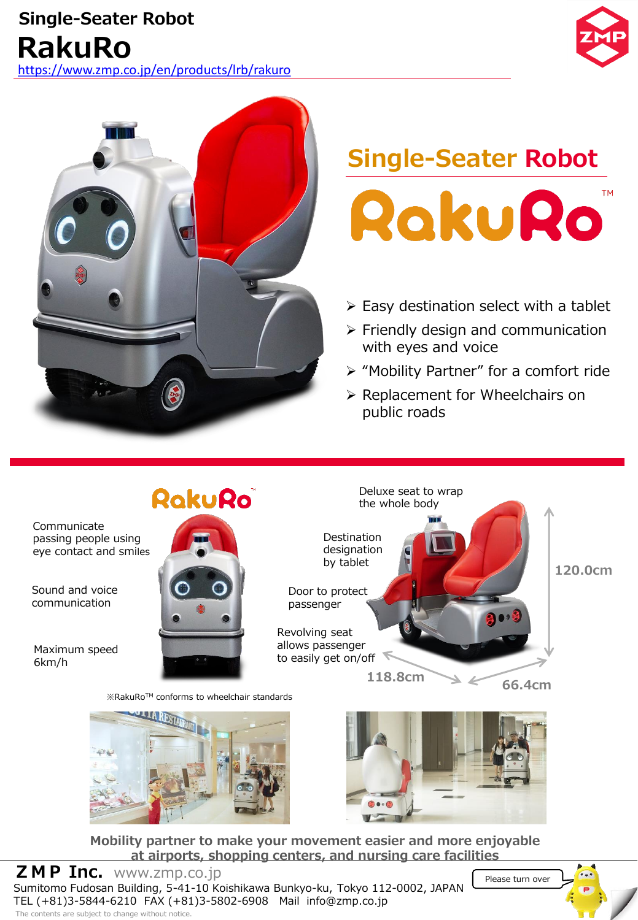



# **Single-Seater Robot** RakuRo

- ➢ Easy destination select with a tablet
- ➢ Friendly design and communication with eyes and voice
- ➢ "Mobility Partner" for a comfort ride

Please turn over

➢ Replacement for Wheelchairs on public roads



**Mobility partner to make your movement easier and more enjoyable at airports, shopping centers, and nursing care facilities**